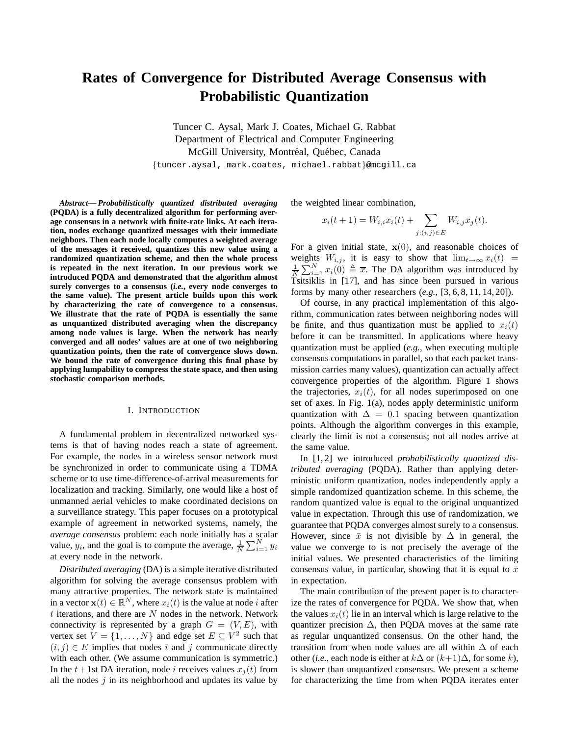# **Rates of Convergence for Distributed Average Consensus with Probabilistic Quantization**

Tuncer C. Aysal, Mark J. Coates, Michael G. Rabbat Department of Electrical and Computer Engineering McGill University, Montréal, Québec, Canada

{tuncer.aysal, mark.coates, michael.rabbat}@mcgill.ca

*Abstract***—** *Probabilistically quantized distributed averaging* **(PQDA) is a fully decentralized algorithm for performing average consensus in a network with finite-rate links. At each iteration, nodes exchange quantized messages with their immediate neighbors. Then each node locally computes a weighted average of the messages it received, quantizes this new value using a randomized quantization scheme, and then the whole process is repeated in the next iteration. In our previous work we introduced PQDA and demonstrated that the algorithm almost surely converges to a consensus (***i.e.***, every node converges to the same value). The present article builds upon this work by characterizing the rate of convergence to a consensus. We illustrate that the rate of PQDA is essentially the same as unquantized distributed averaging when the discrepancy among node values is large. When the network has nearly converged and all nodes' values are at one of two neighboring quantization points, then the rate of convergence slows down. We bound the rate of convergence during this final phase by applying lumpability to compress the state space, and then using stochastic comparison methods.**

#### I. INTRODUCTION

A fundamental problem in decentralized networked systems is that of having nodes reach a state of agreement. For example, the nodes in a wireless sensor network must be synchronized in order to communicate using a TDMA scheme or to use time-difference-of-arrival measurements for localization and tracking. Similarly, one would like a host of unmanned aerial vehicles to make coordinated decisions on a surveillance strategy. This paper focuses on a prototypical example of agreement in networked systems, namely, the *average consensus* problem: each node initially has a scalar value,  $y_i$ , and the goal is to compute the average,  $\frac{1}{N} \sum_{i=1}^{N} y_i$ at every node in the network.

*Distributed averaging* (DA) is a simple iterative distributed algorithm for solving the average consensus problem with many attractive properties. The network state is maintained in a vector  $\mathbf{x}(t) \in \mathbb{R}^N$ , where  $x_i(t)$  is the value at node *i* after  $t$  iterations, and there are  $N$  nodes in the network. Network connectivity is represented by a graph  $G = (V, E)$ , with vertex set  $V = \{1, ..., N\}$  and edge set  $E \subseteq V^2$  such that  $(i, j) \in E$  implies that nodes i and j communicate directly with each other. (We assume communication is symmetric.) In the  $t+1$ st DA iteration, node *i* receives values  $x_i(t)$  from all the nodes  $j$  in its neighborhood and updates its value by

the weighted linear combination,

$$
x_i(t+1) = W_{i,i}x_i(t) + \sum_{j:(i,j)\in E} W_{i,j}x_j(t).
$$

For a given initial state,  $x(0)$ , and reasonable choices of weights  $W_{i,j}$ , it is easy to show that  $\lim_{t\to\infty}x_i(t)$  =  $\frac{1}{N} \sum_{i=1}^{N} x_i(0) \triangleq \overline{x}$ . The DA algorithm was introduced by Tsitsiklis in [17], and has since been pursued in various forms by many other researchers (*e.g.*, [3, 6, 8, 11, 14, 20]).

Of course, in any practical implementation of this algorithm, communication rates between neighboring nodes will be finite, and thus quantization must be applied to  $x_i(t)$ before it can be transmitted. In applications where heavy quantization must be applied (*e.g.*, when executing multiple consensus computations in parallel, so that each packet transmission carries many values), quantization can actually affect convergence properties of the algorithm. Figure 1 shows the trajectories,  $x_i(t)$ , for all nodes superimposed on one set of axes. In Fig. 1(a), nodes apply deterministic uniform quantization with  $\Delta = 0.1$  spacing between quantization points. Although the algorithm converges in this example, clearly the limit is not a consensus; not all nodes arrive at the same value.

In [1, 2] we introduced *probabilistically quantized distributed averaging* (PQDA). Rather than applying deterministic uniform quantization, nodes independently apply a simple randomized quantization scheme. In this scheme, the random quantized value is equal to the original unquantized value in expectation. Through this use of randomization, we guarantee that PQDA converges almost surely to a consensus. However, since  $\bar{x}$  is not divisible by  $\Delta$  in general, the value we converge to is not precisely the average of the initial values. We presented characteristics of the limiting consensus value, in particular, showing that it is equal to  $\bar{x}$ in expectation.

The main contribution of the present paper is to characterize the rates of convergence for PQDA. We show that, when the values  $x_i(t)$  lie in an interval which is large relative to the quantizer precision  $\Delta$ , then PQDA moves at the same rate as regular unquantized consensus. On the other hand, the transition from when node values are all within  $\Delta$  of each other (*i.e.*, each node is either at  $k\Delta$  or  $(k+1)\Delta$ , for some k), is slower than unquantized consensus. We present a scheme for characterizing the time from when PQDA iterates enter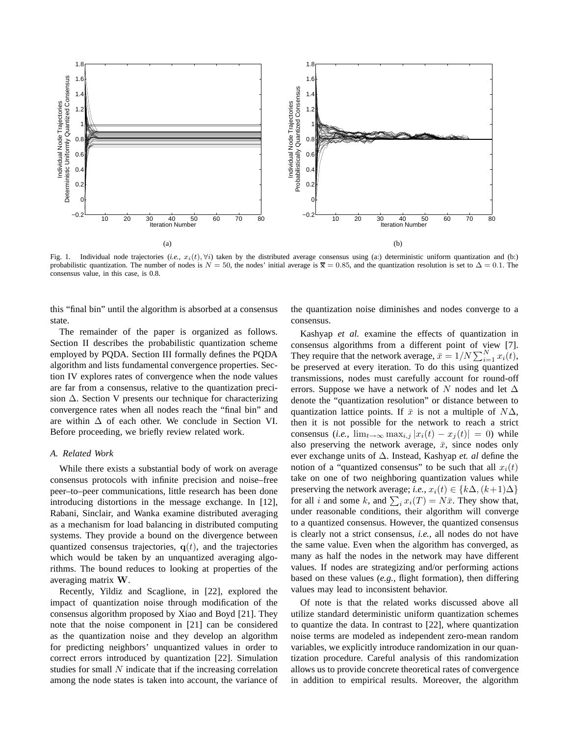

Fig. 1. Individual node trajectories (*i.e.*,  $x_i(t)$ ,  $\forall i$ ) taken by the distributed average consensus using (a:) deterministic uniform quantization and (b:) probabilistic quantization. The number of nodes is  $N = 50$ , the nodes' initial average is  $\bar{x} = 0.85$ , and the quantization resolution is set to  $\Delta = 0.1$ . The consensus value, in this case, is 0.8.

this "final bin" until the algorithm is absorbed at a consensus state.

The remainder of the paper is organized as follows. Section II describes the probabilistic quantization scheme employed by PQDA. Section III formally defines the PQDA algorithm and lists fundamental convergence properties. Section IV explores rates of convergence when the node values are far from a consensus, relative to the quantization precision ∆. Section V presents our technique for characterizing convergence rates when all nodes reach the "final bin" and are within  $\Delta$  of each other. We conclude in Section VI. Before proceeding, we briefly review related work.

## *A. Related Work*

While there exists a substantial body of work on average consensus protocols with infinite precision and noise–free peer–to–peer communications, little research has been done introducing distortions in the message exchange. In [12], Rabani, Sinclair, and Wanka examine distributed averaging as a mechanism for load balancing in distributed computing systems. They provide a bound on the divergence between quantized consensus trajectories,  $q(t)$ , and the trajectories which would be taken by an unquantized averaging algorithms. The bound reduces to looking at properties of the averaging matrix W.

Recently, Yildiz and Scaglione, in [22], explored the impact of quantization noise through modification of the consensus algorithm proposed by Xiao and Boyd [21]. They note that the noise component in [21] can be considered as the quantization noise and they develop an algorithm for predicting neighbors' unquantized values in order to correct errors introduced by quantization [22]. Simulation studies for small  $N$  indicate that if the increasing correlation among the node states is taken into account, the variance of the quantization noise diminishes and nodes converge to a consensus.

Kashyap *et al.* examine the effects of quantization in consensus algorithms from a different point of view [7]. They require that the network average,  $\bar{x} = 1/N \sum_{i=1}^{N} x_i(t)$ , be preserved at every iteration. To do this using quantized transmissions, nodes must carefully account for round-off errors. Suppose we have a network of N nodes and let  $\Delta$ denote the "quantization resolution" or distance between to quantization lattice points. If  $\bar{x}$  is not a multiple of  $N\Delta$ , then it is not possible for the network to reach a strict consensus (*i.e.*,  $\lim_{t\to\infty} \max_{i,j} |x_i(t) - x_j(t)| = 0$ ) while also preserving the network average,  $\bar{x}$ , since nodes only ever exchange units of ∆. Instead, Kashyap *et. al* define the notion of a "quantized consensus" to be such that all  $x_i(t)$ take on one of two neighboring quantization values while preserving the network average; *i.e.*,  $x_i(t) \in \{k\Delta, (k+1)\Delta\}$ for all *i* and some *k*, and  $\sum_i x_i(T) = N\bar{x}$ . They show that, under reasonable conditions, their algorithm will converge to a quantized consensus. However, the quantized consensus is clearly not a strict consensus, *i.e.*, all nodes do not have the same value. Even when the algorithm has converged, as many as half the nodes in the network may have different values. If nodes are strategizing and/or performing actions based on these values (*e.g.*, flight formation), then differing values may lead to inconsistent behavior.

Of note is that the related works discussed above all utilize standard deterministic uniform quantization schemes to quantize the data. In contrast to [22], where quantization noise terms are modeled as independent zero-mean random variables, we explicitly introduce randomization in our quantization procedure. Careful analysis of this randomization allows us to provide concrete theoretical rates of convergence in addition to empirical results. Moreover, the algorithm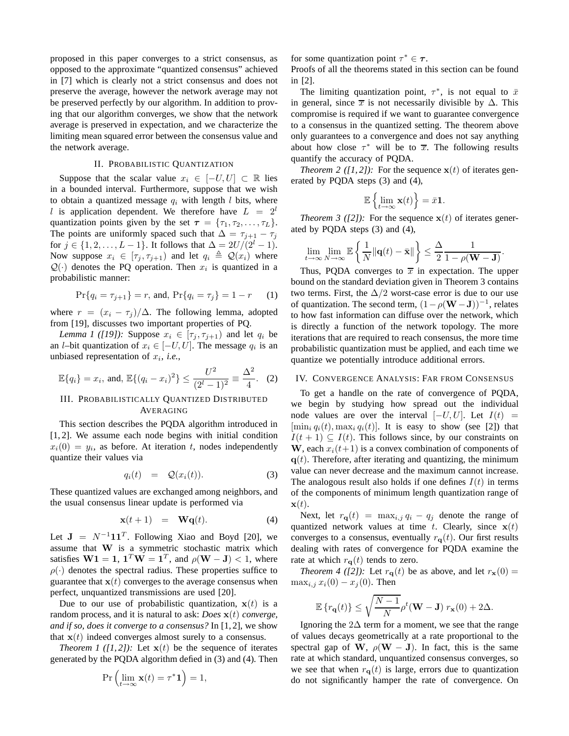proposed in this paper converges to a strict consensus, as opposed to the approximate "quantized consensus" achieved in [7] which is clearly not a strict consensus and does not preserve the average, however the network average may not be preserved perfectly by our algorithm. In addition to proving that our algorithm converges, we show that the network average is preserved in expectation, and we characterize the limiting mean squared error between the consensus value and the network average.

### II. PROBABILISTIC QUANTIZATION

Suppose that the scalar value  $x_i \in [-U, U] \subset \mathbb{R}$  lies in a bounded interval. Furthermore, suppose that we wish to obtain a quantized message  $q_i$  with length l bits, where l is application dependent. We therefore have  $L = 2^l$ quantization points given by the set  $\tau = {\tau_1, \tau_2, \ldots, \tau_L}.$ The points are uniformly spaced such that  $\Delta = \tau_{j+1} - \tau_j$ for  $j \in \{1, 2, ..., L - 1\}$ . It follows that  $\Delta = 2U/(2^l - 1)$ . Now suppose  $x_i \in [\tau_i, \tau_{i+1})$  and let  $q_i \triangleq \mathcal{Q}(x_i)$  where  $Q(\cdot)$  denotes the PQ operation. Then  $x_i$  is quantized in a probabilistic manner:

$$
\Pr\{q_i = \tau_{j+1}\} = r, \text{ and, } \Pr\{q_i = \tau_j\} = 1 - r \tag{1}
$$

where  $r = (x_i - \tau_i)/\Delta$ . The following lemma, adopted from [19], discusses two important properties of PQ.

*Lemma 1 ([19]):* Suppose  $x_i \in [\tau_j, \tau_{j+1})$  and let  $q_i$  be an *l*-bit quantization of  $x_i \in [-U, U]$ . The message  $q_i$  is an unbiased representation of  $x_i$ , *i.e.*,

$$
\mathbb{E}\{q_i\} = x_i, \text{ and, } \mathbb{E}\{(q_i - x_i)^2\} \le \frac{U^2}{(2^l - 1)^2} \equiv \frac{\Delta^2}{4}.
$$
 (2)

# III. PROBABILISTICALLY QUANTIZED DISTRIBUTED AVERAGING

This section describes the PQDA algorithm introduced in [1, 2]. We assume each node begins with initial condition  $x_i(0) = y_i$ , as before. At iteration t, nodes independently quantize their values via

$$
q_i(t) = Q(x_i(t)). \tag{3}
$$

These quantized values are exchanged among neighbors, and the usual consensus linear update is performed via

$$
\mathbf{x}(t+1) = \mathbf{Wq}(t). \tag{4}
$$

Let  $J = N^{-1}11^T$ . Following Xiao and Boyd [20], we assume that W is a symmetric stochastic matrix which satisfies  $W1 = 1$ ,  $1^T W = 1^T$ , and  $\rho(W - J) < 1$ , where  $\rho(\cdot)$  denotes the spectral radius. These properties suffice to guarantee that  $x(t)$  converges to the average consensus when perfect, unquantized transmissions are used [20].

Due to our use of probabilistic quantization,  $x(t)$  is a random process, and it is natural to ask: *Does* x(t) *converge, and if so, does it converge to a consensus?* In [1, 2], we show that  $x(t)$  indeed converges almost surely to a consensus.

*Theorem 1 ([1, 2]):* Let  $\mathbf{x}(t)$  be the sequence of iterates generated by the PQDA algorithm defied in (3) and (4). Then

$$
\Pr\left(\lim_{t\to\infty}\mathbf{x}(t)=\tau^*\mathbf{1}\right)=1,
$$

for some quantization point  $\tau^* \in \tau$ .

Proofs of all the theorems stated in this section can be found in [2].

The limiting quantization point,  $\tau^*$ , is not equal to  $\bar{x}$ in general, since  $\overline{x}$  is not necessarily divisible by  $\Delta$ . This compromise is required if we want to guarantee convergence to a consensus in the quantized setting. The theorem above only guarantees to a convergence and does not say anything about how close  $\tau^*$  will be to  $\overline{x}$ . The following results quantify the accuracy of PQDA.

*Theorem 2 ([1, 2]):* For the sequence  $x(t)$  of iterates generated by PQDA steps (3) and (4),

$$
\mathbb{E}\left\{\lim_{t\to\infty}\mathbf{x}(t)\right\}=\bar{x}\mathbf{1}.
$$

*Theorem 3 ([2]):* For the sequence  $x(t)$  of iterates generated by PQDA steps (3) and (4),

$$
\lim_{t\to\infty}\lim_{N\to\infty}\mathbb{E}\left\{\frac{1}{N}\|\mathbf{q}(t)-\bar{\mathbf{x}}\|\right\}\leq\frac{\Delta}{2}\frac{1}{1-\rho(\mathbf{W}-\mathbf{J})}.
$$

Thus, PQDA converges to  $\overline{x}$  in expectation. The upper bound on the standard deviation given in Theorem 3 contains two terms. First, the  $\Delta/2$  worst-case error is due to our use of quantization. The second term,  $(1 - \rho(W - J))^{-1}$ , relates to how fast information can diffuse over the network, which is directly a function of the network topology. The more iterations that are required to reach consensus, the more time probabilistic quantization must be applied, and each time we quantize we potentially introduce additional errors.

## IV. CONVERGENCE ANALYSIS: FAR FROM CONSENSUS

To get a handle on the rate of convergence of PQDA, we begin by studying how spread out the individual node values are over the interval  $[-U, U]$ . Let  $I(t)$  =  $[\min_i q_i(t), \max_i q_i(t)]$ . It is easy to show (see [2]) that  $I(t + 1) \subseteq I(t)$ . This follows since, by our constraints on W, each  $x_i(t+1)$  is a convex combination of components of  $q(t)$ . Therefore, after iterating and quantizing, the minimum value can never decrease and the maximum cannot increase. The analogous result also holds if one defines  $I(t)$  in terms of the components of minimum length quantization range of  $\mathbf{x}(t)$ .

Next, let  $r_{\mathbf{q}}(t) = \max_{i,j} q_i - q_j$  denote the range of quantized network values at time t. Clearly, since  $x(t)$ converges to a consensus, eventually  $r_{q}(t)$ . Our first results dealing with rates of convergence for PQDA examine the rate at which  $r_{q}(t)$  tends to zero.

*Theorem 4 ([2]):* Let  $r_{\mathbf{q}}(t)$  be as above, and let  $r_{\mathbf{x}}(0) =$  $\max_{i,j} x_i(0) - x_j(0)$ . Then

$$
\mathbb{E}\left\{r_{\mathbf{q}}(t)\right\} \le \sqrt{\frac{N-1}{N}}\rho^{t}(\mathbf{W}-\mathbf{J})\;r_{\mathbf{x}}(0) + 2\Delta.
$$

Ignoring the  $2\Delta$  term for a moment, we see that the range of values decays geometrically at a rate proportional to the spectral gap of W,  $\rho(W - J)$ . In fact, this is the same rate at which standard, unquantized consensus converges, so we see that when  $r_{q}(t)$  is large, errors due to quantization do not significantly hamper the rate of convergence. On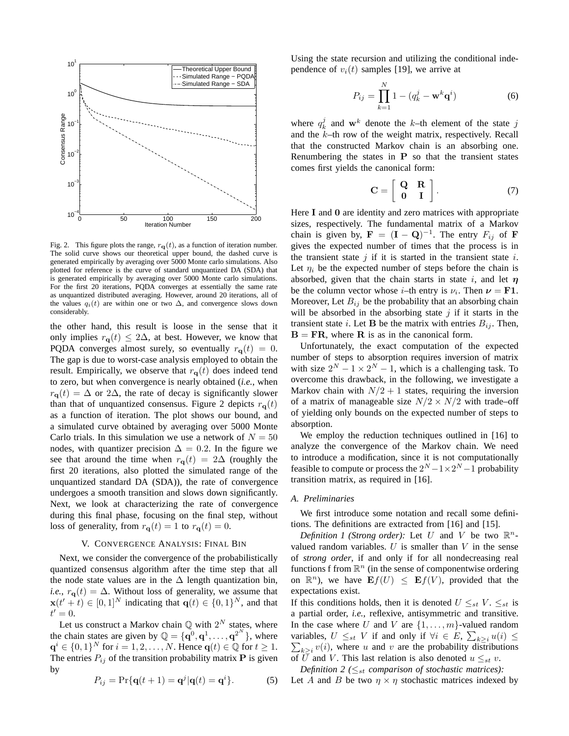

Fig. 2. This figure plots the range,  $r_{q}(t)$ , as a function of iteration number. The solid curve shows our theoretical upper bound, the dashed curve is generated empirically by averaging over 5000 Monte carlo simulations. Also plotted for reference is the curve of standard unquantized DA (SDA) that is generated empirically by averaging over 5000 Monte carlo simulations. For the first 20 iterations, PQDA converges at essentially the same rate as unquantized distributed averaging. However, around 20 iterations, all of the values  $q_i(t)$  are within one or two  $\Delta$ , and convergence slows down considerably.

the other hand, this result is loose in the sense that it only implies  $r_{q}(t) \leq 2\Delta$ , at best. However, we know that PQDA converges almost surely, so eventually  $r_{q}(t) = 0$ . The gap is due to worst-case analysis employed to obtain the result. Empirically, we observe that  $r_{q}(t)$  does indeed tend to zero, but when convergence is nearly obtained (*i.e.*, when  $r_{\mathbf{q}}(t) = \Delta$  or 2 $\Delta$ , the rate of decay is significantly slower than that of unquantized consensus. Figure 2 depicts  $r_{q}(t)$ as a function of iteration. The plot shows our bound, and a simulated curve obtained by averaging over 5000 Monte Carlo trials. In this simulation we use a network of  $N = 50$ nodes, with quantizer precision  $\Delta = 0.2$ . In the figure we see that around the time when  $r_{q}(t) = 2\Delta$  (roughly the first 20 iterations, also plotted the simulated range of the unquantized standard DA (SDA)), the rate of convergence undergoes a smooth transition and slows down significantly. Next, we look at characterizing the rate of convergence during this final phase, focusing on the final step, without loss of generality, from  $r_{\mathbf{q}}(t) = 1$  to  $r_{\mathbf{q}}(t) = 0$ .

#### V. CONVERGENCE ANALYSIS: FINAL BIN

Next, we consider the convergence of the probabilistically quantized consensus algorithm after the time step that all the node state values are in the  $\Delta$  length quantization bin, *i.e.*,  $r_{q}(t) = \Delta$ . Without loss of generality, we assume that  $\mathbf{x}(t'+t) \in [0,1]^N$  indicating that  $\mathbf{q}(t) \in \{0,1\}^N$ , and that  $t'=0.$ 

Let us construct a Markov chain  $\mathbb Q$  with  $2^N$  states, where the chain states are given by  $\mathbb{Q} = {\{\mathbf{q}^0, \mathbf{q}^1, \dots, \mathbf{q}^{2^N}\}}$ , where  $\mathbf{q}^i \in \{0,1\}^N$  for  $i = 1, 2, ..., N$ . Hence  $\mathbf{q}(t) \in \mathbb{Q}$  for  $t \ge 1$ . The entries  $P_{ij}$  of the transition probability matrix **P** is given by

$$
P_{ij} = \Pr\{\mathbf{q}(t+1) = \mathbf{q}^j | \mathbf{q}(t) = \mathbf{q}^i\}.
$$
 (5)

Using the state recursion and utilizing the conditional independence of  $v_i(t)$  samples [19], we arrive at

$$
P_{ij} = \prod_{k=1}^{N} 1 - (q_k^j - \mathbf{w}^k \mathbf{q}^i)
$$
 (6)

where  $q_k^j$  and  $\mathbf{w}^k$  denote the k–th element of the state j and the k–th row of the weight matrix, respectively. Recall that the constructed Markov chain is an absorbing one. Renumbering the states in  $P$  so that the transient states comes first yields the canonical form:

$$
\mathbf{C} = \left[ \begin{array}{cc} \mathbf{Q} & \mathbf{R} \\ \mathbf{0} & \mathbf{I} \end{array} \right]. \tag{7}
$$

Here I and 0 are identity and zero matrices with appropriate sizes, respectively. The fundamental matrix of a Markov chain is given by,  $\mathbf{F} = (\mathbf{I} - \mathbf{Q})^{-1}$ . The entry  $F_{ij}$  of  $\mathbf{F}$ gives the expected number of times that the process is in the transient state  $i$  if it is started in the transient state  $i$ . Let  $\eta_i$  be the expected number of steps before the chain is absorbed, given that the chain starts in state i, and let  $\eta$ be the column vector whose *i*-th entry is  $\nu_i$ . Then  $\nu = F1$ . Moreover, Let  $B_{ij}$  be the probability that an absorbing chain will be absorbed in the absorbing state  $j$  if it starts in the transient state *i*. Let **B** be the matrix with entries  $B_{ij}$ . Then,  $B = FR$ , where R is as in the canonical form.

Unfortunately, the exact computation of the expected number of steps to absorption requires inversion of matrix with size  $2^N - 1 \times 2^N - 1$ , which is a challenging task. To overcome this drawback, in the following, we investigate a Markov chain with  $N/2 + 1$  states, requiring the inversion of a matrix of manageable size  $N/2 \times N/2$  with trade–off of yielding only bounds on the expected number of steps to absorption.

We employ the reduction techniques outlined in [16] to analyze the convergence of the Markov chain. We need to introduce a modification, since it is not computationally feasible to compute or process the  $2^N - 1 \times 2^N - 1$  probability transition matrix, as required in [16].

#### *A. Preliminaries*

We first introduce some notation and recall some definitions. The definitions are extracted from [16] and [15].

*Definition 1 (Strong order):* Let U and V be two  $\mathbb{R}^n$ valued random variables.  $U$  is smaller than  $V$  in the sense of *strong order*, if and only if for all nondecreasing real functions f from  $\mathbb{R}^n$  (in the sense of componentwise ordering on  $\mathbb{R}^n$ ), we have  $\mathbf{E}f(U) \leq \mathbf{E}f(V)$ , provided that the expectations exist.

If this conditions holds, then it is denoted  $U \leq_{st} V$ .  $\leq_{st}$  is a partial order, *i.e.*, reflexive, antisymmetric and transitive. In the case where U and V are  $\{1, \ldots, m\}$ -valued random variables,  $U \leq_{st} V$  if and only if  $\forall i \in E$ ,  $\sum_{k \geq i} u(i) \leq$  $\sum_{k\geq i} v(i)$ , where u and v are the probability distributions of  $\overline{U}$  and V. This last relation is also denoted  $u \leq_{st} v$ .

*Definition 2* ( $\leq_{st}$  *comparison of stochastic matrices)*: Let A and B be two  $\eta \times \eta$  stochastic matrices indexed by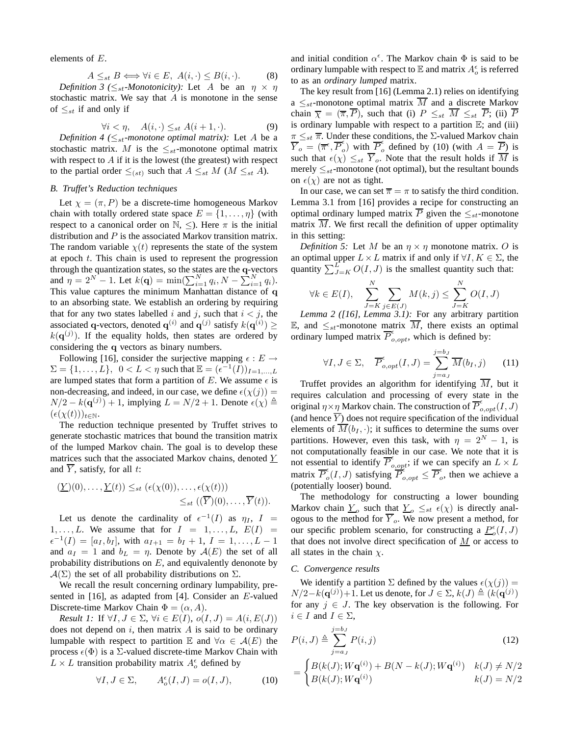elements of E.

$$
A \leq_{st} B \iff \forall i \in E, \ A(i, \cdot) \leq B(i, \cdot). \tag{8}
$$

*Definition 3* ( $\leq_{st}$ -*Monotonicity):* Let A be an  $\eta \times \eta$ stochastic matrix. We say that  $A$  is monotone in the sense of  $\leq_{st}$  if and only if

$$
\forall i < \eta, \quad A(i, \cdot) \leq_{st} A(i+1, \cdot). \tag{9}
$$

*Definition 4* ( $\leq_{st}$ *-monotone optimal matrix):* Let A be a stochastic matrix. M is the  $\leq_{st}$ -monotone optimal matrix with respect to  $A$  if it is the lowest (the greatest) with respect to the partial order  $\leq_{(st)}$  such that  $A \leq_{st} M$  ( $M \leq_{st} A$ ).

## *B. Truffet's Reduction techniques*

Let  $\chi = (\pi, P)$  be a discrete-time homogeneous Markov chain with totally ordered state space  $E = \{1, \ldots, \eta\}$  (with respect to a canonical order on  $\mathbb{N}, \leq$ ). Here  $\pi$  is the initial distribution and P is the associated Markov transition matrix. The random variable  $\chi(t)$  represents the state of the system at epoch t. This chain is used to represent the progression through the quantization states, so the states are the q-vectors and  $\eta = 2^N - 1$ . Let  $k(\mathbf{q}) = \min(\sum_{i=1}^N q_i, N - \sum_{i=1}^N q_i)$ . This value captures the minimum Manhattan distance of q to an absorbing state. We establish an ordering by requiring that for any two states labelled i and j, such that  $i < j$ , the associated q-vectors, denoted  $q^{(i)}$  and  $q^{(j)}$  satisfy  $k(q^{(i)}) \ge$  $k(\mathbf{q}^{(j)})$ . If the equality holds, then states are ordered by considering the q vectors as binary numbers.

Following [16], consider the surjective mapping  $\epsilon : E \rightarrow$  $\Sigma = \{1, ..., L\}, \ \ 0 < L < \eta \text{ such that } \mathbb{E} = (\epsilon^{-1}(I))_{I=1,...,L}$ are lumped states that form a partition of E. We assume  $\epsilon$  is non-decreasing, and indeed, in our case, we define  $\epsilon(\chi(j)) =$  $N/2 - k(\mathbf{q}^{(j)}) + 1$ , implying  $L = N/2 + 1$ . Denote  $\epsilon(\chi) \triangleq$  $(\epsilon(\chi(t)))_{t\in\mathbb{N}}.$ 

The reduction technique presented by Truffet strives to generate stochastic matrices that bound the transition matrix of the lumped Markov chain. The goal is to develop these matrices such that the associated Markov chains, denoted  $Y$ and  $\overline{Y}$ , satisfy, for all t:

$$
(\underline{Y})(0), \ldots, \underline{Y}(t)) \leq_{st} (\epsilon(\chi(0)), \ldots, \epsilon(\chi(t)))
$$
  

$$
\leq_{st} ((\overline{Y})(0), \ldots, \overline{Y}(t)).
$$

Let us denote the cardinality of  $\epsilon^{-1}(I)$  as  $\eta_I$ ,  $I =$  $1, \ldots, L$ . We assume that for  $I = 1, \ldots, L$ ,  $E(I) =$  $\epsilon^{-1}(I) = [a_I, b_I],$  with  $a_{I+1} = b_I + 1, I = 1, ..., L - 1$ and  $a_I = 1$  and  $b_L = \eta$ . Denote by  $\mathcal{A}(E)$  the set of all probability distributions on  $E$ , and equivalently denonote by  $\mathcal{A}(\Sigma)$  the set of all probability distributions on  $\Sigma$ .

We recall the result concerning ordinary lumpability, presented in [16], as adapted from [4]. Consider an E-valued Discrete-time Markov Chain  $\Phi = (\alpha, A)$ .

*Result 1:* If  $\forall I, J \in \Sigma, \forall i \in E(I), o(I, J) = A(i, E(J))$ does not depend on  $i$ , then matrix  $A$  is said to be ordinary lumpable with respect to partition  $\mathbb E$  and  $\forall \alpha \in \mathcal A(E)$  the process  $\epsilon(\Phi)$  is a  $\Sigma$ -valued discrete-time Markov Chain with  $L \times L$  transition probability matrix  $A_o^{\epsilon}$  defined by

$$
\forall I, J \in \Sigma, \qquad A_o^{\epsilon}(I, J) = o(I, J), \tag{10}
$$

and initial condition  $\alpha^{\epsilon}$ . The Markov chain  $\Phi$  is said to be ordinary lumpable with respect to  $\mathbb E$  and matrix  $A_o^\epsilon$  is referred to as an *ordinary lumped* matrix.

The key result from [16] (Lemma 2.1) relies on identifying a  $\leq_{st}$ -monotone optimal matrix  $\overline{M}$  and a discrete Markov chain  $\overline{\chi} = (\overline{\pi}, \overline{P})$ , such that (i)  $P \leq_{st} \overline{M} \leq_{st} \overline{P}$ ; (ii)  $\overline{P}$ is ordinary lumpable with respect to a partition  $E$ ; and (iii)  $\pi \leq_{st} \overline{\pi}$ . Under these conditions, the Σ-valued Markov chain  $\overline{Y}_o^{=st} \ (\overline{\pi}^{\epsilon},\overline{P}_o^{\epsilon})$  $\epsilon$ <sub>o</sub>) with  $\overline{P}_c^{\epsilon}$  $\int_{0}^{\infty}$  defined by (10) (with  $A = P$ ) is such that  $\epsilon(\chi) \leq_{st} \overline{Y}_o$ . Note that the result holds if  $\overline{M}$  is merely  $\leq_{st}$ -monotone (not optimal), but the resultant bounds on  $\epsilon(\chi)$  are not as tight.

In our case, we can set  $\overline{\pi} = \pi$  to satisfy the third condition. Lemma 3.1 from [16] provides a recipe for constructing an optimal ordinary lumped matrix  $\overline{P}$  given the  $\leq_{st}$ -monotone matrix  $\overline{M}$ . We first recall the definition of upper optimality in this setting:

*Definition 5:* Let M be an  $\eta \times \eta$  monotone matrix. O is an optimal upper  $L \times L$  matrix if and only if  $\forall I, K \in \Sigma$ , the quantity  $\sum_{J=K}^{L} O(I, J)$  is the smallest quantity such that:

$$
\forall k \in E(I), \sum_{J=K}^{N} \sum_{j \in E(J)} M(k, j) \leq \sum_{J=K}^{N} O(I, J)
$$

*Lemma 2 ([16], Lemma 3.1):* For any arbitrary partition E, and  $\leq_{st}$ -monotone matrix M, there exists an optimal ordinary lumped matrix  $\overline{P}_{o, opt}^{\epsilon}$ , which is defined by:

$$
\forall I, J \in \Sigma, \quad \overline{P}_{o, opt}^{\epsilon}(I, J) = \sum_{j=a_J}^{j=b_J} \overline{M}(b_I, j) \tag{11}
$$

Truffet provides an algorithm for identifying  $\overline{M}$ , but it requires calculation and processing of every state in the original  $\eta \times \underline{\eta}$  Markov chain. The construction of  $\overline{P}_{o,opt}^{\epsilon}(I, J)$ (and hence  $\overline{Y}$ ) does not require specification of the individual elements of  $\overline{M}(b_I, \cdot)$ ; it suffices to determine the sums over partitions. However, even this task, with  $\eta = 2^N - 1$ , is not computationally feasible in our case. We note that it is not essential to identify  $\overline{P}_{o, opt}^{\epsilon}$ ; if we can specify an  $L \times L$ matrix  $\overline{P}_{a}^{\epsilon}$  $\sum_{o}^{\epsilon} (I, J)$  satisfying  $\overline{P}_{o, opt}^{\epsilon} \leq \overline{P}_{o}^{\epsilon}$  $\int_{0}^{\infty}$ , then we achieve a (potentially looser) bound.

The methodology for constructing a lower bounding Markov chain  $\underline{Y}_{o}$  such that  $\underline{Y}_{o} \leq_{st} \epsilon(\chi)$  is directly analogous to the method for  $\overline{Y}_o$ . We now present a method, for our specific problem scenario, for constructing a  $\underline{P}_o^{\epsilon}(I, J)$ that does not involve direct specification of  $M$  or access to all states in the chain  $\chi$ .

#### *C. Convergence results*

We identify a partition  $\Sigma$  defined by the values  $\epsilon(\chi(j))$  =  $N/2-k(\mathbf{q}^{(j)})+1$ . Let us denote, for  $J \in \Sigma$ ,  $k(J) \triangleq (k(\mathbf{q}^{(j)})$ for any  $j \in J$ . The key observation is the following. For  $i \in I$  and  $I \in \Sigma$ ,

$$
P(i, J) \triangleq \sum_{j=a_J}^{j=b_J} P(i, j)
$$
\n(12)

$$
= \begin{cases} B(k(J); W\mathbf{q}^{(i)}) + B(N - k(J); W\mathbf{q}^{(i)}) & k(J) \neq N/2 \\ B(k(J); W\mathbf{q}^{(i)}) & k(J) = N/2 \end{cases}
$$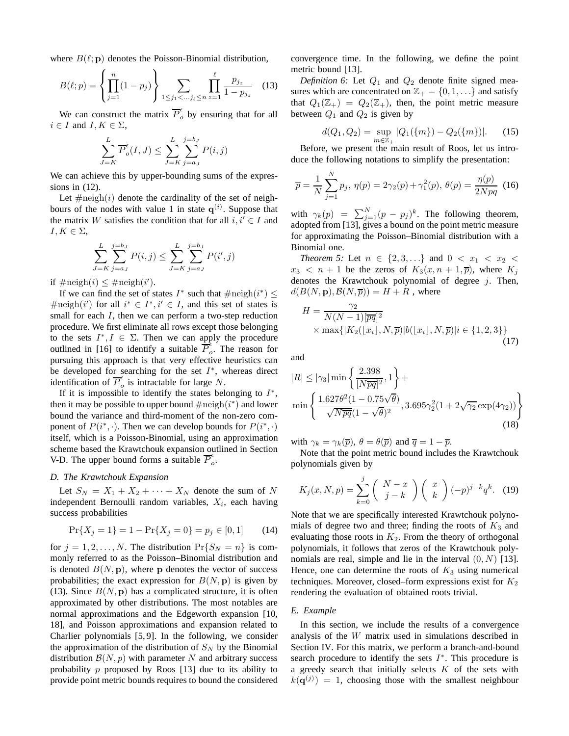where  $B(\ell; \mathbf{p})$  denotes the Poisson-Binomial distribution,

$$
B(\ell;p) = \left\{ \prod_{j=1}^{n} (1-p_j) \right\} \sum_{1 \le j_1 < \dots & j_\ell \le n} \prod_{z=1}^{\ell} \frac{p_{j_z}}{1-p_{j_z}} \tag{13}
$$

We can construct the matrix  $\overline{P}_o^{\epsilon}$  $\int_{o}^{\epsilon}$  by ensuring that for all  $i \in I$  and  $I, K \in \Sigma$ ,

$$
\sum_{J=K}^{L} \overline{P}_{o}^{\epsilon}(I,J) \le \sum_{J=K}^{L} \sum_{j=a_J}^{j=b_J} P(i,j)
$$

We can achieve this by upper-bounding sums of the expressions in (12).

Let  $\#\text{neigh}(i)$  denote the cardinality of the set of neighbours of the nodes with value 1 in state  $q^{(i)}$ . Suppose that the matrix W satisfies the condition that for all  $i, i' \in I$  and  $I, K \in \Sigma$ ,

$$
\sum_{J=K}^{L} \sum_{j=a_J}^{j=b_J} P(i,j) \le \sum_{J=K}^{L} \sum_{j=a_J}^{j=b_J} P(i',j)
$$

if  $\#\text{neigh}(i) \leq \#\text{neigh}(i').$ 

If we can find the set of states  $I^*$  such that  $\#\text{neigh}(i^*) \leq$  $\#\text{neigh}(i')$  for all  $i^* \in I^*, i' \in I$ , and this set of states is small for each  $I$ , then we can perform a two-step reduction procedure. We first eliminate all rows except those belonging to the sets  $I^*, I \in \Sigma$ . Then we can apply the procedure outlined in [16] to identify a suitable  $\overline{P}_a^{\epsilon}$  $\int_{0}^{\infty}$ . The reason for pursuing this approach is that very effective heuristics can be developed for searching for the set  $I^*$ , whereas direct identification of  $\overline{P}_{o}^{\epsilon}$  $\int_{o}$  is intractable for large N.

If it is impossible to identify the states belonging to  $I^*$ , then it may be possible to upper bound  $\# \text{neigh}(i^*)$  and lower bound the variance and third-moment of the non-zero component of  $P(i^*, \cdot)$ . Then we can develop bounds for  $P(i^*, \cdot)$ itself, which is a Poisson-Binomial, using an approximation scheme based the Krawtchouk expansion outlined in Section V-D. The upper bound forms a suitable  $\overline{P}_o^{\epsilon}$  $\frac{1}{\sigma}$ 

## *D. The Krawtchouk Expansion*

Let  $S_N = X_1 + X_2 + \cdots + X_N$  denote the sum of N independent Bernoulli random variables,  $X_i$ , each having success probabilities

$$
\Pr\{X_j = 1\} = 1 - \Pr\{X_j = 0\} = p_j \in [0, 1] \tag{14}
$$

for  $j = 1, 2, ..., N$ . The distribution  $Pr{S_N = n}$  is commonly referred to as the Poisson–Binomial distribution and is denoted  $B(N, \mathbf{p})$ , where p denotes the vector of success probabilities; the exact expression for  $B(N, \mathbf{p})$  is given by (13). Since  $B(N, \mathbf{p})$  has a complicated structure, it is often approximated by other distributions. The most notables are normal approximations and the Edgeworth expansion [10, 18], and Poisson approximations and expansion related to Charlier polynomials [5, 9]. In the following, we consider the approximation of the distribution of  $S_N$  by the Binomial distribution  $\mathcal{B}(N, p)$  with parameter N and arbitrary success probability p proposed by Roos [13] due to its ability to provide point metric bounds requires to bound the considered convergence time. In the following, we define the point metric bound [13].

*Definition 6:* Let  $Q_1$  and  $Q_2$  denote finite signed measures which are concentrated on  $\mathbb{Z}_+ = \{0, 1, \ldots\}$  and satisfy that  $Q_1(\mathbb{Z}_+) = Q_2(\mathbb{Z}_+)$ , then, the point metric measure between  $Q_1$  and  $Q_2$  is given by

$$
d(Q_1, Q_2) = \sup_{m \in \mathbb{Z}_+} |Q_1(\{m\}) - Q_2(\{m\})|.
$$
 (15)

Before, we present the main result of Roos, let us introduce the following notations to simplify the presentation:

$$
\overline{p} = \frac{1}{N} \sum_{j=1}^{N} p_j, \ \eta(p) = 2\gamma_2(p) + \gamma_1^2(p), \ \theta(p) = \frac{\eta(p)}{2Npq} \ \ (16)
$$

with  $\gamma_k(p) = \sum_{j=1}^N (p - p_j)^k$ . The following theorem, adopted from [13], gives a bound on the point metric measure for approximating the Poisson–Binomial distribution with a Binomial one.

*Theorem 5:* Let  $n \in \{2, 3, ...\}$  and  $0 < x_1 < x_2 <$  $x_3 < n + 1$  be the zeros of  $K_3(x, n + 1, \overline{p})$ , where  $K_i$ denotes the Krawtchouk polynomial of degree  $j$ . Then,  $d(B(N, \mathbf{p}), \mathcal{B}(N, \overline{p})) = H + R$ , where

$$
H = \frac{\gamma_2}{N(N-1)[\overline{pq}]^2} \times \max\{|K_2(\lfloor x_i \rfloor, N, \overline{p})|b(\lfloor x_i \rfloor, N, \overline{p})|i \in \{1, 2, 3\}\}\
$$
\n(17)

and

$$
|R| \le |\gamma_3| \min \left\{ \frac{2.398}{[N\overline{pq}]^2}, 1 \right\} + \min \left\{ \frac{1.627\theta^2 (1 - 0.75\sqrt{\theta})}{\sqrt{N\overline{pq}} (1 - \sqrt{\theta})^2}, 3.695\gamma_2^2 (1 + 2\sqrt{\gamma_2} \exp(4\gamma_2)) \right\}
$$
(18)

with  $\gamma_k = \gamma_k(\overline{p}), \theta = \theta(\overline{p})$  and  $\overline{q} = 1 - \overline{p}$ .

Note that the point metric bound includes the Krawtchouk polynomials given by

$$
K_j(x, N, p) = \sum_{k=0}^j \binom{N-x}{j-k} \binom{x}{k} (-p)^{j-k} q^k. \tag{19}
$$

Note that we are specifically interested Krawtchouk polynomials of degree two and three; finding the roots of  $K_3$  and evaluating those roots in  $K_2$ . From the theory of orthogonal polynomials, it follows that zeros of the Krawtchouk polynomials are real, simple and lie in the interval  $(0, N)$  [13]. Hence, one can determine the roots of  $K_3$  using numerical techniques. Moreover, closed–form expressions exist for  $K_2$ rendering the evaluation of obtained roots trivial.

#### *E. Example*

In this section, we include the results of a convergence analysis of the W matrix used in simulations described in Section IV. For this matrix, we perform a branch-and-bound search procedure to identify the sets  $I^*$ . This procedure is a greedy search that initially selects  $K$  of the sets with  $k(\mathbf{q}^{(j)}) = 1$ , choosing those with the smallest neighbour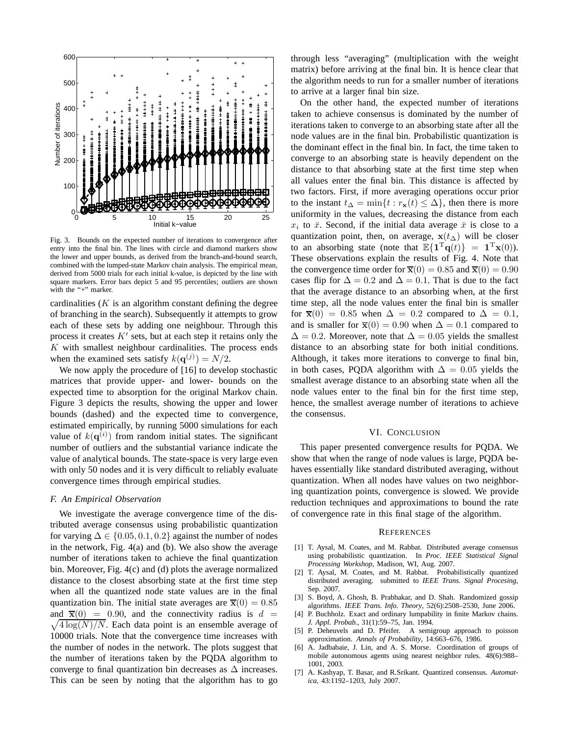

Fig. 3. Bounds on the expected number of iterations to convergence after entry into the final bin. The lines with circle and diamond markers show the lower and upper bounds, as derived from the branch-and-bound search, combined with the lumped-state Markov chain analysis. The empirical mean, derived from 5000 trials for each initial k-value, is depicted by the line with square markers. Error bars depict 5 and 95 percentiles; outliers are shown with the "+" marker.

cardinalities  $(K$  is an algorithm constant defining the degree of branching in the search). Subsequently it attempts to grow each of these sets by adding one neighbour. Through this process it creates  $K'$  sets, but at each step it retains only the  $K$  with smallest neighbour cardinalities. The process ends when the examined sets satisfy  $k(\mathbf{q}^{(j)}) = N/2$ .

We now apply the procedure of [16] to develop stochastic matrices that provide upper- and lower- bounds on the expected time to absorption for the original Markov chain. Figure 3 depicts the results, showing the upper and lower bounds (dashed) and the expected time to convergence, estimated empirically, by running 5000 simulations for each value of  $k(\mathbf{q}^{(i)})$  from random initial states. The significant number of outliers and the substantial variance indicate the value of analytical bounds. The state-space is very large even with only 50 nodes and it is very difficult to reliably evaluate convergence times through empirical studies.

## *F. An Empirical Observation*

We investigate the average convergence time of the distributed average consensus using probabilistic quantization for varying  $\Delta \in \{0.05, 0.1, 0.2\}$  against the number of nodes in the network, Fig. 4(a) and (b). We also show the average number of iterations taken to achieve the final quantization bin. Moreover, Fig. 4(c) and (d) plots the average normalized distance to the closest absorbing state at the first time step when all the quantized node state values are in the final quantization bin. The initial state averages are  $\bar{\mathbf{x}}(0) = 0.85$ and  $\overline{\mathbf{x}}(0) = 0.90$ , and the connectivity radius is  $d =$ and  $\bar{x}(0) = 0.90$ , and the connectivity radius is  $d = \sqrt{4 \log(N)/N}$ . Each data point is an ensemble average of 10000 trials. Note that the convergence time increases with the number of nodes in the network. The plots suggest that the number of iterations taken by the PQDA algorithm to converge to final quantization bin decreases as  $\Delta$  increases. This can be seen by noting that the algorithm has to go

through less "averaging" (multiplication with the weight matrix) before arriving at the final bin. It is hence clear that the algorithm needs to run for a smaller number of iterations to arrive at a larger final bin size.

On the other hand, the expected number of iterations taken to achieve consensus is dominated by the number of iterations taken to converge to an absorbing state after all the node values are in the final bin. Probabilistic quantization is the dominant effect in the final bin. In fact, the time taken to converge to an absorbing state is heavily dependent on the distance to that absorbing state at the first time step when all values enter the final bin. This distance is affected by two factors. First, if more averaging operations occur prior to the instant  $t_{\Delta} = \min\{t : r_{\mathbf{x}}(t) \leq \Delta\}$ , then there is more uniformity in the values, decreasing the distance from each  $x_i$  to  $\bar{x}$ . Second, if the initial data average  $\bar{x}$  is close to a quantization point, then, on average,  $x(t<sub>\Delta</sub>)$  will be closer to an absorbing state (note that  $\mathbb{E}\{\mathbf{1}^{\mathrm{T}}\mathbf{q}(t)\} = \mathbf{1}^{\mathrm{T}}\mathbf{x}(0)$ ). These observations explain the results of Fig. 4. Note that the convergence time order for  $\overline{\mathbf{x}}(0) = 0.85$  and  $\overline{\mathbf{x}}(0) = 0.90$ cases flip for  $\Delta = 0.2$  and  $\Delta = 0.1$ . That is due to the fact that the average distance to an absorbing when, at the first time step, all the node values enter the final bin is smaller for  $\bar{x}(0) = 0.85$  when  $\Delta = 0.2$  compared to  $\Delta = 0.1$ , and is smaller for  $\bar{x}(0) = 0.90$  when  $\Delta = 0.1$  compared to  $\Delta = 0.2$ . Moreover, note that  $\Delta = 0.05$  yields the smallest distance to an absorbing state for both initial conditions. Although, it takes more iterations to converge to final bin, in both cases, PQDA algorithm with  $\Delta = 0.05$  yields the smallest average distance to an absorbing state when all the node values enter to the final bin for the first time step, hence, the smallest average number of iterations to achieve the consensus.

## VI. CONCLUSION

This paper presented convergence results for PQDA. We show that when the range of node values is large, PQDA behaves essentially like standard distributed averaging, without quantization. When all nodes have values on two neighboring quantization points, convergence is slowed. We provide reduction techniques and approximations to bound the rate of convergence rate in this final stage of the algorithm.

#### **REFERENCES**

- [1] T. Aysal, M. Coates, and M. Rabbat. Distributed average consensus using probabilistic quantization. In *Proc. IEEE Statistical Signal Processing Workshop*, Madison, WI, Aug. 2007.
- [2] T. Aysal, M. Coates, and M. Rabbat. Probabilistically quantized distributed averaging. submitted to *IEEE Trans. Signal Procesing*, Sep. 2007.
- [3] S. Boyd, A. Ghosh, B. Prabhakar, and D. Shah. Randomized gossip algorithms. *IEEE Trans. Info. Theory*, 52(6):2508–2530, June 2006.
- [4] P. Buchholz. Exact and ordinary lumpability in finite Markov chains. *J. Appl. Probab.*, 31(1):59–75, Jan. 1994.
- [5] P. Deheuvels and D. Pfeifer. A semigroup approach to poisson approximation. *Annals of Probability*, 14:663–676, 1986.
- [6] A. Jadbabaie, J. Lin, and A. S. Morse. Coordination of groups of mobile autonomous agents using nearest neighbor rules. 48(6):988– 1001, 2003.
- [7] A. Kashyap, T. Basar, and R.Srikant. Quantized consensus. *Automatica*, 43:1192–1203, July 2007.